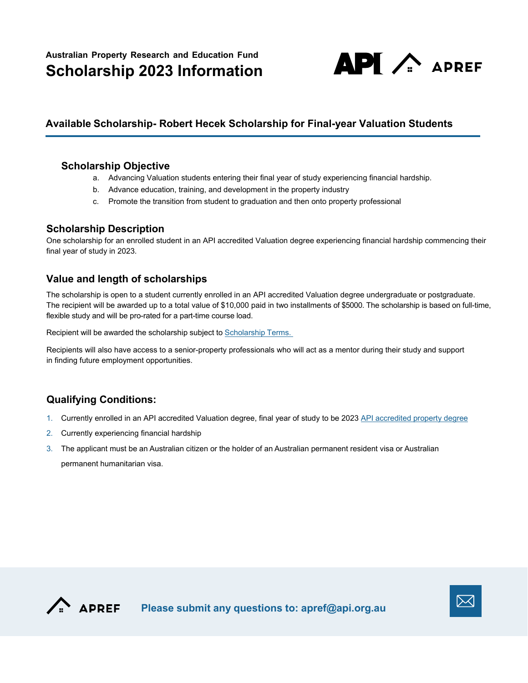

# **Available Scholarship- Robert Hecek Scholarship for Final-year Valuation Students**

#### **Scholarship Objective**

- a. Advancing Valuation students entering their final year of study experiencing financial hardship.
- b. Advance education, training, and development in the property industry
- c. Promote the transition from student to graduation and then onto property professional

#### **Scholarship Description**

One scholarship for an enrolled student in an API accredited Valuation degree experiencing financial hardship commencing their final year of study in 2023.

### **Value and length of scholarships**

The scholarship is open to a student currently enrolled in an API accredited Valuation degree undergraduate or postgraduate. The recipient will be awarded up to a total value of \$10,000 paid in two installments of \$5000. The scholarship is based on full-time, flexible study and will be pro-rated for a part-time course load.

Recipient will be awarded the scholarship subject to [Scholarship Terms.](#page-2-0) 

Recipients will also have access to a senior-property professionals who will act as a mentor during their study and support in finding future employment opportunities.

### **Qualifying Conditions:**

- 1. Currently enrolled in an API accredited Valuation degree, final year of study to be 2023 [API accredited](https://www.api.org.au/membership/community/young-property-professionals/accredited-courses/) property degree
- 2. Currently experiencing financial hardship
- 3. The applicant must be an Australian citizen or the holder of an Australian permanent resident visa or Australian permanent humanitarian visa.



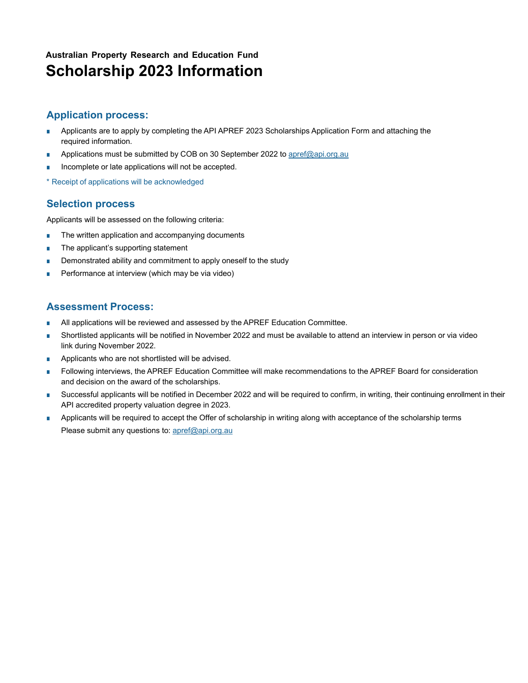# **Australian Property Research and Education Fund Scholarship 2023 Information**

### **Application process:**

- Applicants are to apply by completing the API APREF 2023 Scholarships Application Form and attaching the required information.
- Applications must be submitted by COB on 30 September 2022 to [apref@api.org.au](mailto:apref@api.org.au)
- Incomplete or late applications will not be accepted.
- \* Receipt of applications will be acknowledged

# **Selection process**

Applicants will be assessed on the following criteria:

- The written application and accompanying documents
- The applicant's supporting statement
- Demonstrated ability and commitment to apply oneself to the study
- Performance at interview (which may be via video)

# **Assessment Process:**

- All applications will be reviewed and assessed by the APREF Education Committee.
- Shortlisted applicants will be notified in November 2022 and must be available to attend an interview in person or via video link during November 2022.
- Applicants who are not shortlisted will be advised.
- Following interviews, the APREF Education Committee will make recommendations to the APREF Board for consideration and decision on the award of the scholarships.
- Successful applicants will be notified in December 2022 and will be required to confirm, in writing, their continuing enrollment in their API accredited property valuation degree in 2023.
- Applicants will be required to accept the Offer of scholarship in writing along with acceptance of the scholarship terms Please submit any questions to: [apref@api.org.au](mailto:apref@api.org.au)